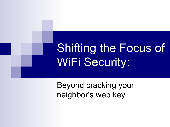# Shifting the Focus of WiFi Security:

Beyond cracking your neighbor's wep key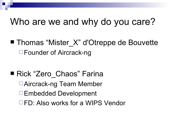#### Who are we and why do you care?

■ Thomas "Mister X" d'Otreppe de Bouvette **□Founder of Aircrack-ng** 

■ Rick "Zero Chaos" Farina Aircrack-ng Team Member Embedded Development □FD: Also works for a WIPS Vendor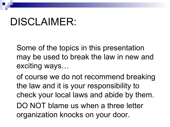## DISCLAIMER:

Some of the topics in this presentation may be used to break the law in new and exciting ways…

of course we do not recommend breaking the law and it is your responsibility to check your local laws and abide by them. DO NOT blame us when a three letter

organization knocks on your door.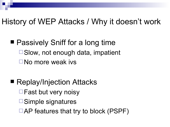#### History of WEP Attacks / Why it doesn't work

- Passively Sniff for a long time □ Slow, not enough data, impatient No more weak ivs
- Replay/Injection Attacks  $\Box$  Fast but very noisy **□Simple signatures**  $\Box$  AP features that try to block (PSPF)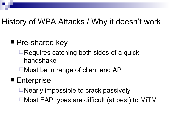#### History of WPA Attacks / Why it doesn't work

#### ■ Pre-shared key

- $\Box$  Requires catching both sides of a quick handshake
- $\Box$  Must be in range of client and AP

#### ■ Enterprise

- $\Box$  Nearly impossible to crack passively
- Most EAP types are difficult (at best) to MiTM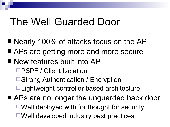### The Well Guarded Door

- Nearly 100% of attacks focus on the AP
- APs are getting more and more secure
- New features built into AP
	- □PSPF / Client Isolation
	- **□ Strong Authentication / Encryption**
	- □ Lightweight controller based architecture
- APs are no longer the unguarded back door  $\Box$  Well deployed with for thought for security  $\Box$  Well developed industry best practices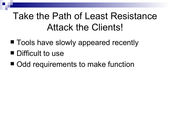#### Take the Path of Least Resistance Attack the Clients!

- Tools have slowly appeared recently
- **Difficult to use**
- Odd requirements to make function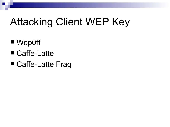## Attacking Client WEP Key

- Wep0ff
- Caffe-Latte
- Caffe-Latte Frag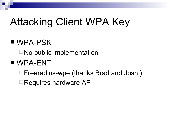## Attacking Client WPA Key

#### ■ WPA-PSK

 $\Box$  No public implementation

#### WPA-ENT

- Freeradius-wpe (thanks Brad and Josh!)
- □Requires hardware AP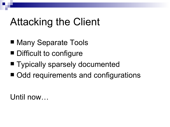## Attacking the Client

- Many Separate Tools
- Difficult to configure
- **Typically sparsely documented**
- Odd requirements and configurations

Until now…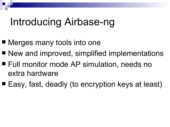### Introducing Airbase-ng

- Merges many tools into one
- New and improved, simplified implementations
- Full monitor mode AP simulation, needs no extra hardware
- Easy, fast, deadly (to encryption keys at least)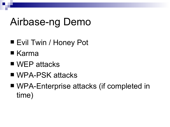## Airbase-ng Demo

- Evil Twin / Honey Pot
- $\blacksquare$  Karma
- WEP attacks
- WPA-PSK attacks
- WPA-Enterprise attacks (if completed in time)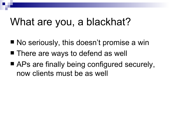### What are you, a blackhat?

- No seriously, this doesn't promise a win
- There are ways to defend as well
- APs are finally being configured securely, now clients must be as well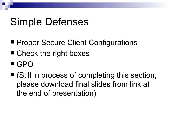## Simple Defenses

- **Proper Secure Client Configurations**
- Check the right boxes
- GPO
- (Still in process of completing this section, please download final slides from link at the end of presentation)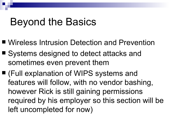### Beyond the Basics

- Wireless Intrusion Detection and Prevention
- Systems designed to detect attacks and sometimes even prevent them
- (Full explanation of WIPS systems and features will follow, with no vendor bashing, however Rick is still gaining permissions required by his employer so this section will be left uncompleted for now)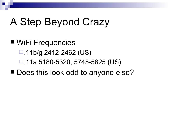### A Step Beyond Crazy

■ WiFi Frequencies  $\Box$ .11b/g 2412-2462 (US) .11a 5180-5320, 5745-5825 (US) ■ Does this look odd to anyone else?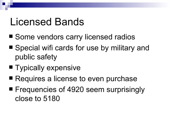### Licensed Bands

- Some vendors carry licensed radios
- Special wifi cards for use by military and public safety
- **Typically expensive**
- Requires a license to even purchase
- **Figuencies of 4920 seem surprisingly** close to 5180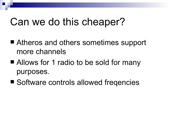### Can we do this cheaper?

- Atheros and others sometimes support more channels
- Allows for 1 radio to be sold for many purposes.
- Software controls allowed freqencies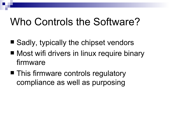## Who Controls the Software?

- $\blacksquare$  Sadly, typically the chipset vendors
- Most wifi drivers in linux require binary firmware
- This firmware controls regulatory compliance as well as purposing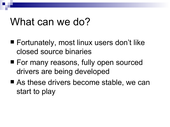#### What can we do?

- Fortunately, most linux users don't like closed source binaries
- **For many reasons, fully open sourced** drivers are being developed
- As these drivers become stable, we can start to play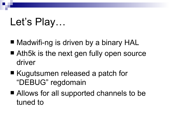## Let's Play…

- Madwifi-ng is driven by a binary HAL
- Ath5k is the next gen fully open source driver
- Kugutsumen released a patch for "DEBUG" regdomain
- Allows for all supported channels to be tuned to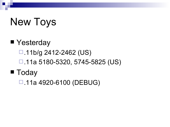## New Toys

### ■ Yesterday  $\Box$ .11b/g 2412-2462 (US) .11a 5180-5320, 5745-5825 (US) ■ Today

.11a 4920-6100 (DEBUG)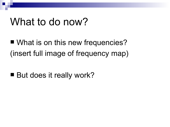#### What to do now?

■ What is on this new frequencies? (insert full image of frequency map)

■ But does it really work?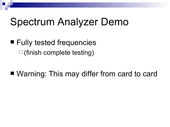## Spectrum Analyzer Demo

■ Fully tested frequencies  $\square$ (finish complete testing)

■ Warning: This may differ from card to card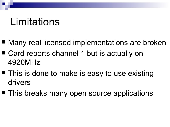### Limitations

- Many real licensed implementations are broken
- Card reports channel 1 but is actually on 4920MHz
- This is done to make is easy to use existing drivers
- This breaks many open source applications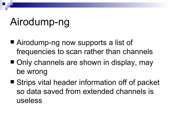## Airodump-ng

- Airodump-ng now supports a list of frequencies to scan rather than channels
- Only channels are shown in display, may be wrong
- Strips vital header information off of packet so data saved from extended channels is useless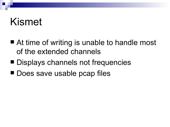### Kismet

- At time of writing is unable to handle most of the extended channels
- Displays channels not frequencies
- Does save usable pcap files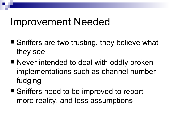#### Improvement Needed

- Sniffers are two trusting, they believe what they see
- Never intended to deal with oddly broken implementations such as channel number fudging
- Sniffers need to be improved to report more reality, and less assumptions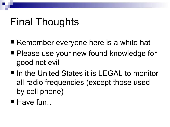## Final Thoughts

- Remember everyone here is a white hat
- Please use your new found knowledge for good not evil
- In the United States it is LEGAL to monitor all radio frequencies (except those used by cell phone)
- $\blacksquare$  Have fun...